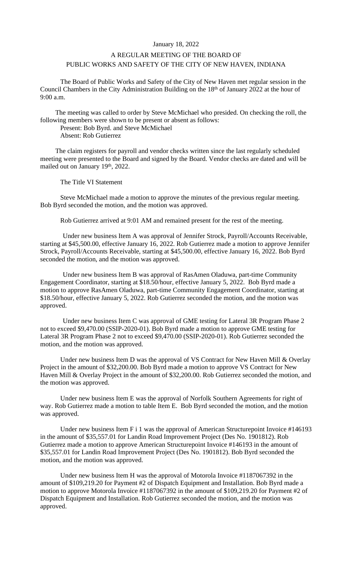## January 18, 2022

## A REGULAR MEETING OF THE BOARD OF PUBLIC WORKS AND SAFETY OF THE CITY OF NEW HAVEN, INDIANA

The Board of Public Works and Safety of the City of New Haven met regular session in the Council Chambers in the City Administration Building on the 18th of January 2022 at the hour of 9:00 a.m.

The meeting was called to order by Steve McMichael who presided. On checking the roll, the following members were shown to be present or absent as follows:

Present: Bob Byrd. and Steve McMichael

Absent: Rob Gutierrez

The claim registers for payroll and vendor checks written since the last regularly scheduled meeting were presented to the Board and signed by the Board. Vendor checks are dated and will be mailed out on January 19<sup>th</sup>, 2022.

The Title VI Statement

Steve McMichael made a motion to approve the minutes of the previous regular meeting. Bob Byrd seconded the motion, and the motion was approved.

Rob Gutierrez arrived at 9:01 AM and remained present for the rest of the meeting.

Under new business Item A was approval of Jennifer Strock, Payroll/Accounts Receivable, starting at \$45,500.00, effective January 16, 2022. Rob Gutierrez made a motion to approve Jennifer Strock, Payroll/Accounts Receivable, starting at \$45,500.00, effective January 16, 2022. Bob Byrd seconded the motion, and the motion was approved.

Under new business Item B was approval of RasAmen Oladuwa, part-time Community Engagement Coordinator, starting at \$18.50/hour, effective January 5, 2022. Bob Byrd made a motion to approve RasAmen Oladuwa, part-time Community Engagement Coordinator, starting at \$18.50/hour, effective January 5, 2022. Rob Gutierrez seconded the motion, and the motion was approved.

Under new business Item C was approval of GME testing for Lateral 3R Program Phase 2 not to exceed \$9,470.00 (SSIP-2020-01). Bob Byrd made a motion to approve GME testing for Lateral 3R Program Phase 2 not to exceed \$9,470.00 (SSIP-2020-01). Rob Gutierrez seconded the motion, and the motion was approved.

Under new business Item D was the approval of VS Contract for New Haven Mill & Overlay Project in the amount of \$32,200.00. Bob Byrd made a motion to approve VS Contract for New Haven Mill & Overlay Project in the amount of \$32,200.00. Rob Gutierrez seconded the motion, and the motion was approved.

Under new business Item E was the approval of Norfolk Southern Agreements for right of way. Rob Gutierrez made a motion to table Item E. Bob Byrd seconded the motion, and the motion was approved.

Under new business Item F i 1 was the approval of American Structure point Invoice #146193 in the amount of \$35,557.01 for Landin Road Improvement Project (Des No. 1901812). Rob Gutierrez made a motion to approve American Structurepoint Invoice #146193 in the amount of \$35,557.01 for Landin Road Improvement Project (Des No. 1901812). Bob Byrd seconded the motion, and the motion was approved.

Under new business Item H was the approval of Motorola Invoice #1187067392 in the amount of \$109,219.20 for Payment #2 of Dispatch Equipment and Installation. Bob Byrd made a motion to approve Motorola Invoice #1187067392 in the amount of \$109,219.20 for Payment #2 of Dispatch Equipment and Installation. Rob Gutierrez seconded the motion, and the motion was approved.